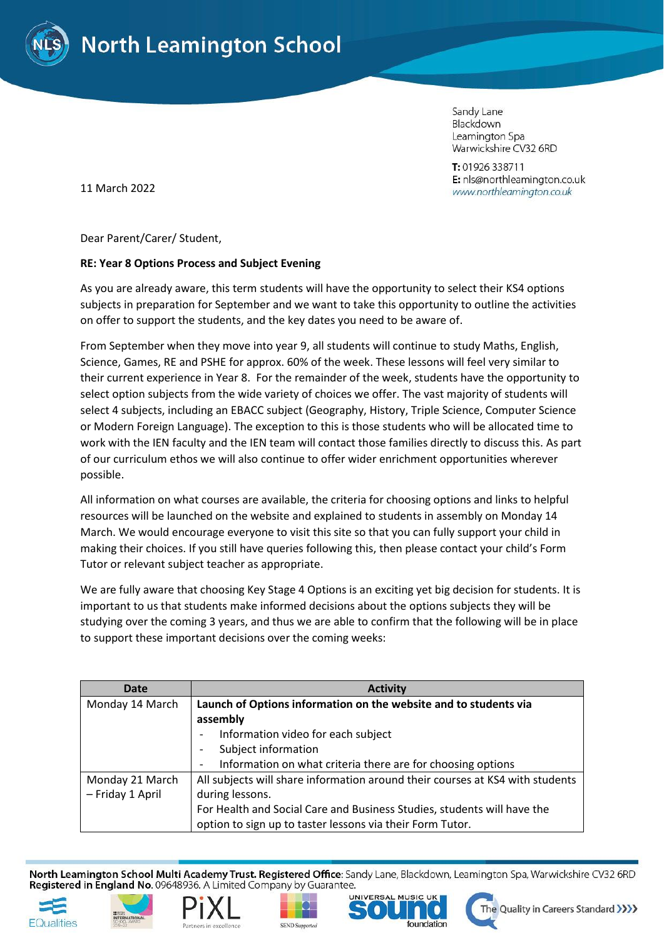

Sandy Lane Blackdown Leamington Spa Warwickshire CV32 6RD

T: 01926 338711 E: nls@northleamington.co.uk www.northleamington.co.uk

11 March 2022

Dear Parent/Carer/ Student,

## **RE: Year 8 Options Process and Subject Evening**

As you are already aware, this term students will have the opportunity to select their KS4 options subjects in preparation for September and we want to take this opportunity to outline the activities on offer to support the students, and the key dates you need to be aware of.

From September when they move into year 9, all students will continue to study Maths, English, Science, Games, RE and PSHE for approx. 60% of the week. These lessons will feel very similar to their current experience in Year 8. For the remainder of the week, students have the opportunity to select option subjects from the wide variety of choices we offer. The vast majority of students will select 4 subjects, including an EBACC subject (Geography, History, Triple Science, Computer Science or Modern Foreign Language). The exception to this is those students who will be allocated time to work with the IEN faculty and the IEN team will contact those families directly to discuss this. As part of our curriculum ethos we will also continue to offer wider enrichment opportunities wherever possible.

All information on what courses are available, the criteria for choosing options and links to helpful resources will be launched on the website and explained to students in assembly on Monday 14 March. We would encourage everyone to visit this site so that you can fully support your child in making their choices. If you still have queries following this, then please contact your child's Form Tutor or relevant subject teacher as appropriate.

We are fully aware that choosing Key Stage 4 Options is an exciting yet big decision for students. It is important to us that students make informed decisions about the options subjects they will be studying over the coming 3 years, and thus we are able to confirm that the following will be in place to support these important decisions over the coming weeks:

| Date             | <b>Activity</b>                                                               |
|------------------|-------------------------------------------------------------------------------|
| Monday 14 March  | Launch of Options information on the website and to students via              |
|                  | assembly                                                                      |
|                  | Information video for each subject                                            |
|                  | Subject information                                                           |
|                  | Information on what criteria there are for choosing options                   |
| Monday 21 March  | All subjects will share information around their courses at KS4 with students |
| - Friday 1 April | during lessons.                                                               |
|                  | For Health and Social Care and Business Studies, students will have the       |
|                  | option to sign up to taster lessons via their Form Tutor.                     |

North Leamington School Multi Academy Trust. Registered Office: Sandy Lane, Blackdown, Leamington Spa, Warwickshire CV32 6RD Registered in England No. 09648936. A Limited Company by Guarantee.











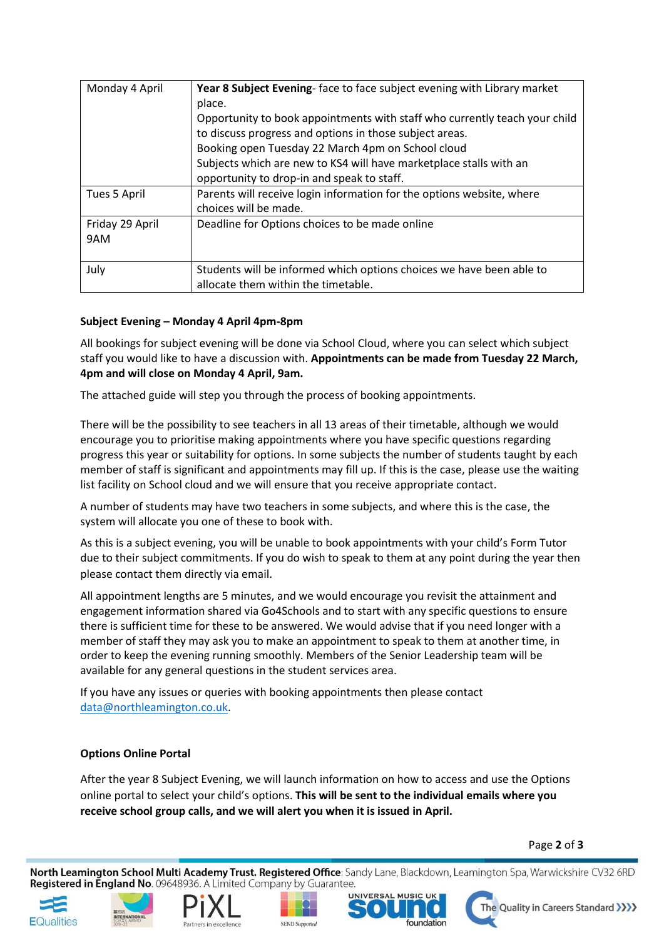| Monday 4 April         | Year 8 Subject Evening-face to face subject evening with Library market<br>place.<br>Opportunity to book appointments with staff who currently teach your child<br>to discuss progress and options in those subject areas.<br>Booking open Tuesday 22 March 4pm on School cloud<br>Subjects which are new to KS4 will have marketplace stalls with an |
|------------------------|-------------------------------------------------------------------------------------------------------------------------------------------------------------------------------------------------------------------------------------------------------------------------------------------------------------------------------------------------------|
|                        | opportunity to drop-in and speak to staff.                                                                                                                                                                                                                                                                                                            |
| Tues 5 April           | Parents will receive login information for the options website, where<br>choices will be made.                                                                                                                                                                                                                                                        |
| Friday 29 April<br>9AM | Deadline for Options choices to be made online                                                                                                                                                                                                                                                                                                        |
| July                   | Students will be informed which options choices we have been able to<br>allocate them within the timetable.                                                                                                                                                                                                                                           |

## **Subject Evening – Monday 4 April 4pm-8pm**

All bookings for subject evening will be done via School Cloud, where you can select which subject staff you would like to have a discussion with. **Appointments can be made from Tuesday 22 March, 4pm and will close on Monday 4 April, 9am.** 

The attached guide will step you through the process of booking appointments.

There will be the possibility to see teachers in all 13 areas of their timetable, although we would encourage you to prioritise making appointments where you have specific questions regarding progress this year or suitability for options. In some subjects the number of students taught by each member of staff is significant and appointments may fill up. If this is the case, please use the waiting list facility on School cloud and we will ensure that you receive appropriate contact.

A number of students may have two teachers in some subjects, and where this is the case, the system will allocate you one of these to book with.

As this is a subject evening, you will be unable to book appointments with your child's Form Tutor due to their subject commitments. If you do wish to speak to them at any point during the year then please contact them directly via email.

All appointment lengths are 5 minutes, and we would encourage you revisit the attainment and engagement information shared via Go4Schools and to start with any specific questions to ensure there is sufficient time for these to be answered. We would advise that if you need longer with a member of staff they may ask you to make an appointment to speak to them at another time, in order to keep the evening running smoothly. Members of the Senior Leadership team will be available for any general questions in the student services area.

If you have any issues or queries with booking appointments then please contact [data@northleamington.co.uk.](mailto:data@northleamington.co.uk)

## **Options Online Portal**

After the year 8 Subject Evening, we will launch information on how to access and use the Options online portal to select your child's options. **This will be sent to the individual emails where you receive school group calls, and we will alert you when it is issued in April.**

## Page **2** of **3**

North Leamington School Multi Academy Trust. Registered Office: Sandy Lane, Blackdown, Leamington Spa, Warwickshire CV32 6RD Registered in England No. 09648936. A Limited Company by Guarantee.













The Quality in Careers Standard >>>>>>